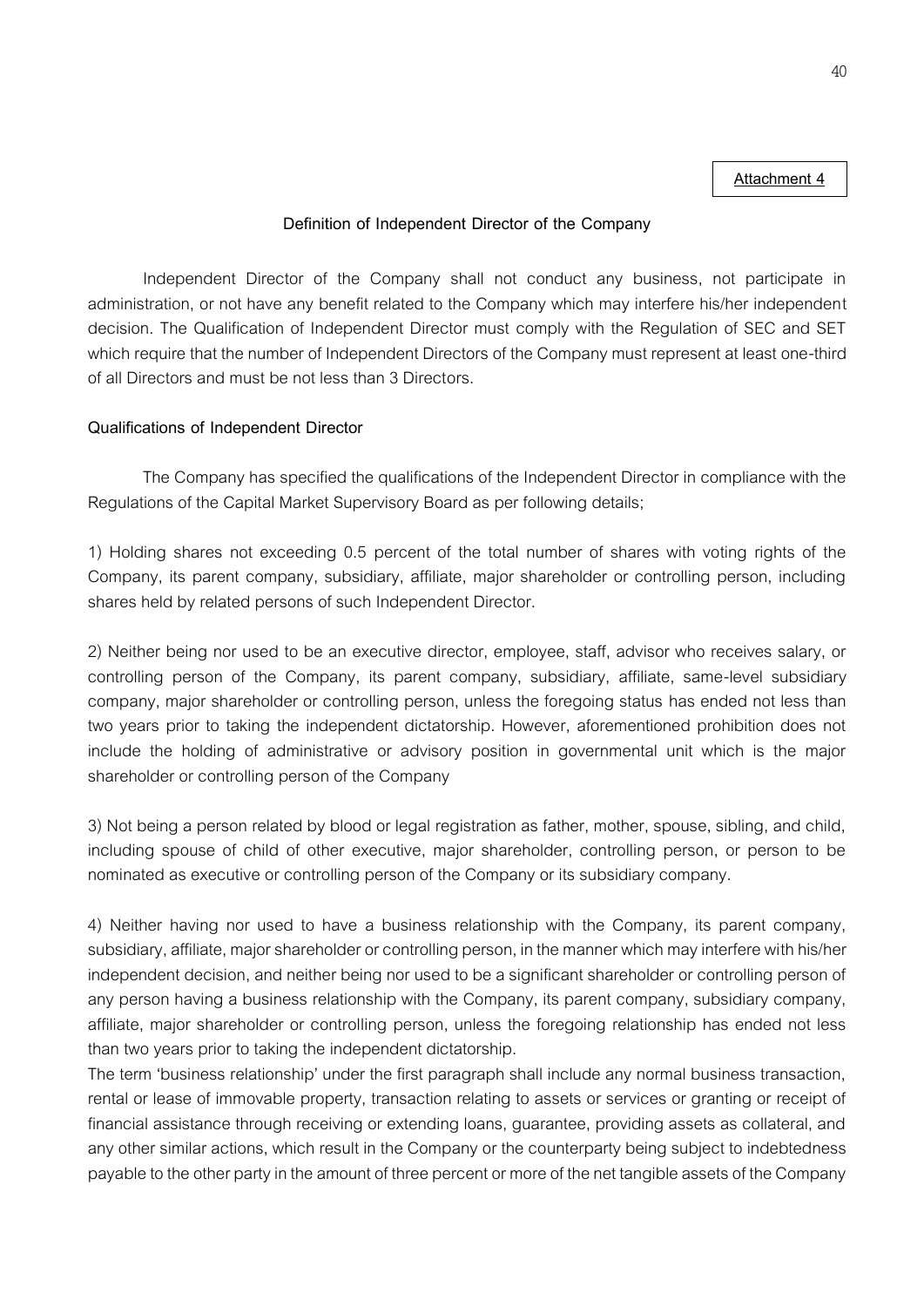## **Attachment 4**

## **Definition of Independent Director of the Company**

Independent Director of the Company shall not conduct any business, not participate in administration, or not have any benefit related to the Company which may interfere his/her independent decision. The Qualification of Independent Director must comply with the Regulation of SEC and SET which require that the number of Independent Directors of the Company must represent at least one-third of all Directors and must be not less than 3 Directors.

## **Qualifications of Independent Director**

The Company has specified the qualifications of the Independent Director in compliance with the Regulations of the Capital Market Supervisory Board as per following details;

1) Holding shares not exceeding 0.5 percent of the total number of shares with voting rights of the Company, its parent company, subsidiary, affiliate, major shareholder or controlling person, including shares held by related persons of such Independent Director.

2) Neither being nor used to be an executive director, employee, staff, advisor who receives salary, or controlling person of the Company, its parent company, subsidiary, affiliate, same-level subsidiary company, major shareholder or controlling person, unless the foregoing status has ended not less than two years prior to taking the independent dictatorship. However, aforementioned prohibition does not include the holding of administrative or advisory position in governmental unit which is the major shareholder or controlling person of the Company

3) Not being a person related by blood or legal registration as father, mother, spouse, sibling, and child, including spouse of child of other executive, major shareholder, controlling person, or person to be nominated as executive or controlling person of the Company or its subsidiary company.

4) Neither having nor used to have a business relationship with the Company, its parent company, subsidiary, affiliate, major shareholder or controlling person, in the manner which may interfere with his/her independent decision, and neither being nor used to be a significant shareholder or controlling person of any person having a business relationship with the Company, its parent company, subsidiary company, affiliate, major shareholder or controlling person, unless the foregoing relationship has ended not less than two years prior to taking the independent dictatorship.

The term 'business relationship' under the first paragraph shall include any normal business transaction, rental or lease of immovable property, transaction relating to assets or services or granting or receipt of financial assistance through receiving or extending loans, guarantee, providing assets as collateral, and any other similar actions, which result in the Company or the counterparty being subject to indebtedness payable to the other party in the amount of three percent or more of the net tangible assets of the Company